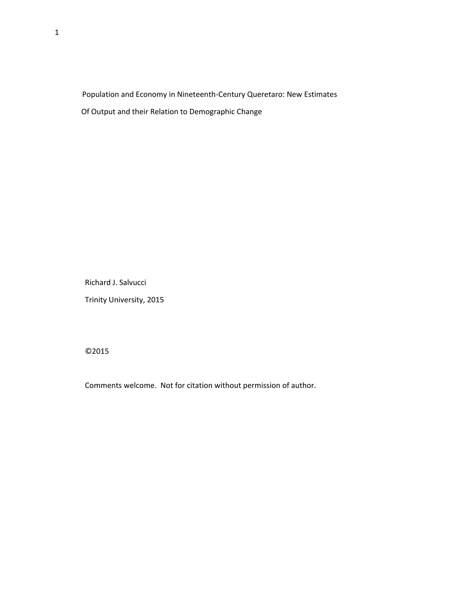Population and Economy in Nineteenth-Century Queretaro: New Estimates Of Output and their Relation to Demographic Change

Richard J. Salvucci

Trinity University, 2015

©2015

Comments welcome. Not for citation without permission of author.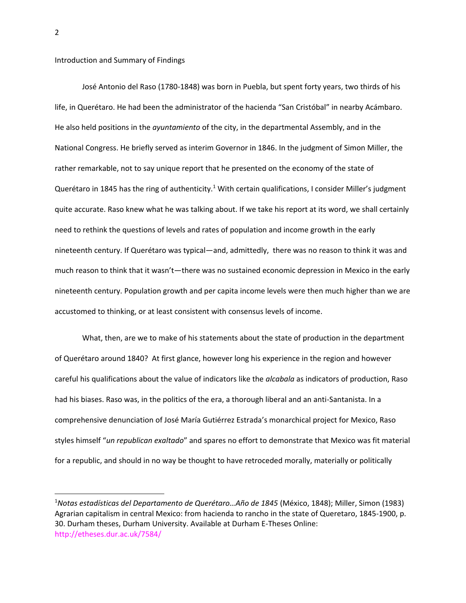Introduction and Summary of Findings

José Antonio del Raso (1780-1848) was born in Puebla, but spent forty years, two thirds of his life, in Querétaro. He had been the administrator of the hacienda "San Cristóbal" in nearby Acámbaro. He also held positions in the *ayuntamiento* of the city, in the departmental Assembly, and in the National Congress. He briefly served as interim Governor in 1846. In the judgment of Simon Miller, the rather remarkable, not to say unique report that he presented on the economy of the state of Querétaro in 1845 has the ring of authenticity.<sup>1</sup> With certain qualifications, I consider Miller's judgment quite accurate. Raso knew what he was talking about. If we take his report at its word, we shall certainly need to rethink the questions of levels and rates of population and income growth in the early nineteenth century. If Querétaro was typical—and, admittedly, there was no reason to think it was and much reason to think that it wasn't—there was no sustained economic depression in Mexico in the early nineteenth century. Population growth and per capita income levels were then much higher than we are accustomed to thinking, or at least consistent with consensus levels of income.

What, then, are we to make of his statements about the state of production in the department of Querétaro around 1840? At first glance, however long his experience in the region and however careful his qualifications about the value of indicators like the *alcabala* as indicators of production, Raso had his biases. Raso was, in the politics of the era, a thorough liberal and an anti-Santanista. In a comprehensive denunciation of José María Gutiérrez Estrada's monarchical project for Mexico, Raso styles himself "*un republican exaltado*" and spares no effort to demonstrate that Mexico was fit material for a republic, and should in no way be thought to have retroceded morally, materially or politically

<sup>1</sup>*Notas estadísticas del Departamento de Querétaro…Año de 1845* (México, 1848); Miller, Simon (1983) Agrarian capitalism in central Mexico: from hacienda to rancho in the state of Queretaro, 1845-1900, p. 30. Durham theses, Durham University. Available at Durham E-Theses Online: http://etheses.dur.ac.uk/7584/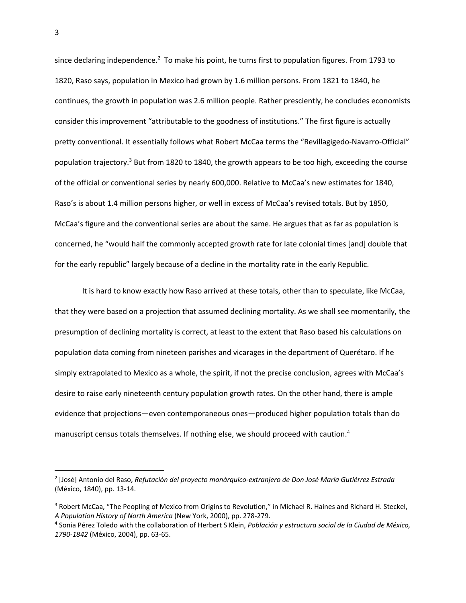since declaring independence.<sup>2</sup> To make his point, he turns first to population figures. From 1793 to 1820, Raso says, population in Mexico had grown by 1.6 million persons. From 1821 to 1840, he continues, the growth in population was 2.6 million people. Rather presciently, he concludes economists consider this improvement "attributable to the goodness of institutions." The first figure is actually pretty conventional. It essentially follows what Robert McCaa terms the "Revillagigedo-Navarro-Official" population trajectory.<sup>3</sup> But from 1820 to 1840, the growth appears to be too high, exceeding the course of the official or conventional series by nearly 600,000. Relative to McCaa's new estimates for 1840, Raso's is about 1.4 million persons higher, or well in excess of McCaa's revised totals. But by 1850, McCaa's figure and the conventional series are about the same. He argues that as far as population is concerned, he "would half the commonly accepted growth rate for late colonial times [and] double that for the early republic" largely because of a decline in the mortality rate in the early Republic.

It is hard to know exactly how Raso arrived at these totals, other than to speculate, like McCaa, that they were based on a projection that assumed declining mortality. As we shall see momentarily, the presumption of declining mortality is correct, at least to the extent that Raso based his calculations on population data coming from nineteen parishes and vicarages in the department of Querétaro. If he simply extrapolated to Mexico as a whole, the spirit, if not the precise conclusion, agrees with McCaa's desire to raise early nineteenth century population growth rates. On the other hand, there is ample evidence that projections—even contemporaneous ones—produced higher population totals than do manuscript census totals themselves. If nothing else, we should proceed with caution.<sup>4</sup>

<sup>2</sup> [José] Antonio del Raso, *Refutación del proyecto monárquico-extranjero de Don José María Gutiérrez Estrada*  (México, 1840), pp. 13-14.

<sup>&</sup>lt;sup>3</sup> Robert McCaa, "The Peopling of Mexico from Origins to Revolution," in Michael R. Haines and Richard H. Steckel, *A Population History of North America* (New York, 2000), pp. 278-279.

<sup>4</sup> Sonia Pérez Toledo with the collaboration of Herbert S Klein, *Población y estructura social de la Ciudad de México, 1790-1842* (México, 2004), pp. 63-65.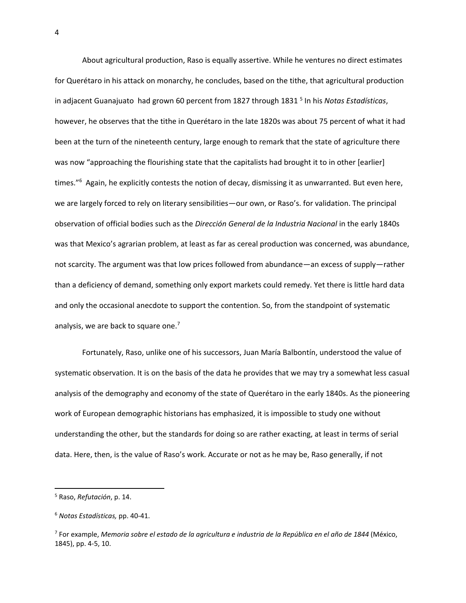About agricultural production, Raso is equally assertive. While he ventures no direct estimates for Querétaro in his attack on monarchy, he concludes, based on the tithe, that agricultural production in adjacent Guanajuato had grown 60 percent from 1827 through 1831<sup>5</sup> In his *Notas Estadísticas*, however, he observes that the tithe in Querétaro in the late 1820s was about 75 percent of what it had been at the turn of the nineteenth century, large enough to remark that the state of agriculture there was now "approaching the flourishing state that the capitalists had brought it to in other [earlier] times."<sup>6</sup> Again, he explicitly contests the notion of decay, dismissing it as unwarranted. But even here, we are largely forced to rely on literary sensibilities—our own, or Raso's. for validation. The principal observation of official bodies such as the *Dirección General de la Industria Nacional* in the early 1840s was that Mexico's agrarian problem, at least as far as cereal production was concerned, was abundance, not scarcity. The argument was that low prices followed from abundance—an excess of supply—rather than a deficiency of demand, something only export markets could remedy. Yet there is little hard data and only the occasional anecdote to support the contention. So, from the standpoint of systematic analysis, we are back to square one.<sup>7</sup>

Fortunately, Raso, unlike one of his successors, Juan María Balbontín, understood the value of systematic observation. It is on the basis of the data he provides that we may try a somewhat less casual analysis of the demography and economy of the state of Querétaro in the early 1840s. As the pioneering work of European demographic historians has emphasized, it is impossible to study one without understanding the other, but the standards for doing so are rather exacting, at least in terms of serial data. Here, then, is the value of Raso's work. Accurate or not as he may be, Raso generally, if not

l

<sup>5</sup> Raso, *Refutación*, p. 14.

<sup>6</sup> *Notas Estadísticas,* pp. 40-41.

<sup>7</sup> For example, *Memoria sobre el estado de la agricultura e industria de la República en el año de 1844* (México, 1845), pp. 4-5, 10.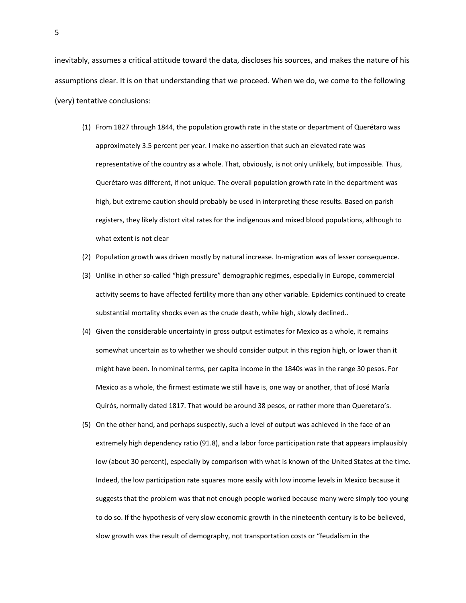inevitably, assumes a critical attitude toward the data, discloses his sources, and makes the nature of his assumptions clear. It is on that understanding that we proceed. When we do, we come to the following (very) tentative conclusions:

- (1) From 1827 through 1844, the population growth rate in the state or department of Querétaro was approximately 3.5 percent per year. I make no assertion that such an elevated rate was representative of the country as a whole. That, obviously, is not only unlikely, but impossible. Thus, Querétaro was different, if not unique. The overall population growth rate in the department was high, but extreme caution should probably be used in interpreting these results. Based on parish registers, they likely distort vital rates for the indigenous and mixed blood populations, although to what extent is not clear
- (2) Population growth was driven mostly by natural increase. In-migration was of lesser consequence.
- (3) Unlike in other so-called "high pressure" demographic regimes, especially in Europe, commercial activity seems to have affected fertility more than any other variable. Epidemics continued to create substantial mortality shocks even as the crude death, while high, slowly declined..
- (4) Given the considerable uncertainty in gross output estimates for Mexico as a whole, it remains somewhat uncertain as to whether we should consider output in this region high, or lower than it might have been. In nominal terms, per capita income in the 1840s was in the range 30 pesos. For Mexico as a whole, the firmest estimate we still have is, one way or another, that of José María Quirós, normally dated 1817. That would be around 38 pesos, or rather more than Queretaro's.
- (5) On the other hand, and perhaps suspectly, such a level of output was achieved in the face of an extremely high dependency ratio (91.8), and a labor force participation rate that appears implausibly low (about 30 percent), especially by comparison with what is known of the United States at the time. Indeed, the low participation rate squares more easily with low income levels in Mexico because it suggests that the problem was that not enough people worked because many were simply too young to do so. If the hypothesis of very slow economic growth in the nineteenth century is to be believed, slow growth was the result of demography, not transportation costs or "feudalism in the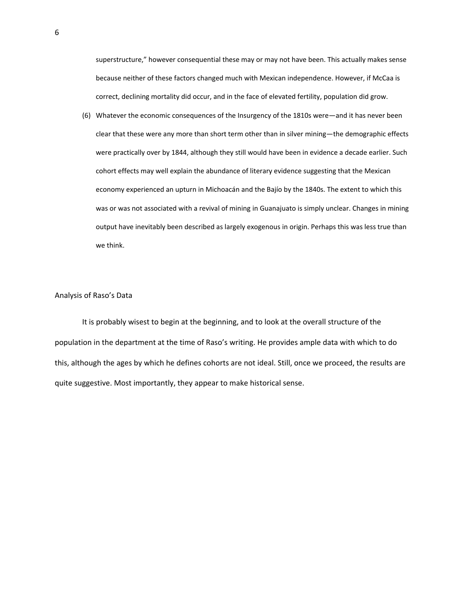superstructure," however consequential these may or may not have been. This actually makes sense because neither of these factors changed much with Mexican independence. However, if McCaa is correct, declining mortality did occur, and in the face of elevated fertility, population did grow.

(6) Whatever the economic consequences of the Insurgency of the 1810s were—and it has never been clear that these were any more than short term other than in silver mining—the demographic effects were practically over by 1844, although they still would have been in evidence a decade earlier. Such cohort effects may well explain the abundance of literary evidence suggesting that the Mexican economy experienced an upturn in Michoacán and the Bajío by the 1840s. The extent to which this was or was not associated with a revival of mining in Guanajuato is simply unclear. Changes in mining output have inevitably been described as largely exogenous in origin. Perhaps this was less true than we think.

## Analysis of Raso's Data

It is probably wisest to begin at the beginning, and to look at the overall structure of the population in the department at the time of Raso's writing. He provides ample data with which to do this, although the ages by which he defines cohorts are not ideal. Still, once we proceed, the results are quite suggestive. Most importantly, they appear to make historical sense.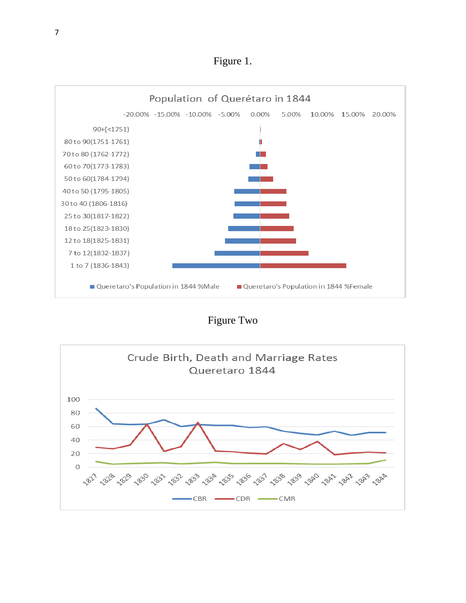Figure 1.



Figure Two

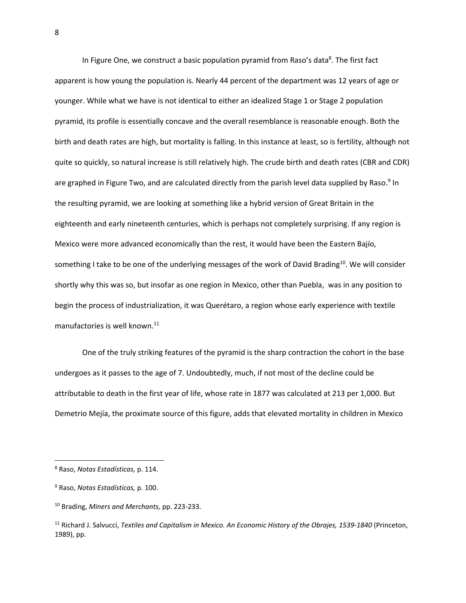In Figure One, we construct a basic population pyramid from Raso's data<sup>8</sup>. The first fact apparent is how young the population is. Nearly 44 percent of the department was 12 years of age or younger. While what we have is not identical to either an idealized Stage 1 or Stage 2 population pyramid, its profile is essentially concave and the overall resemblance is reasonable enough. Both the birth and death rates are high, but mortality is falling. In this instance at least, so is fertility, although not quite so quickly, so natural increase is still relatively high. The crude birth and death rates (CBR and CDR) are graphed in Figure Two, and are calculated directly from the parish level data supplied by Raso.<sup>9</sup> In the resulting pyramid, we are looking at something like a hybrid version of Great Britain in the eighteenth and early nineteenth centuries, which is perhaps not completely surprising. If any region is Mexico were more advanced economically than the rest, it would have been the Eastern Bajío, something I take to be one of the underlying messages of the work of David Brading<sup>10</sup>. We will consider shortly why this was so, but insofar as one region in Mexico, other than Puebla, was in any position to begin the process of industrialization, it was Querétaro, a region whose early experience with textile manufactories is well known.<sup>11</sup>

One of the truly striking features of the pyramid is the sharp contraction the cohort in the base undergoes as it passes to the age of 7. Undoubtedly, much, if not most of the decline could be attributable to death in the first year of life, whose rate in 1877 was calculated at 213 per 1,000. But Demetrio Mejía, the proximate source of this figure, adds that elevated mortality in children in Mexico

<sup>8</sup> Raso, *Notas Estadísticas,* p. 114.

<sup>9</sup> Raso, *Notas Estadísticas,* p. 100.

<sup>10</sup> Brading, *Miners and Merchants,* pp. 223-233.

<sup>11</sup> Richard J. Salvucci, *Textiles and Capitalism in Mexico. An Economic History of the Obrajes, 1539-1840* (Princeton, 1989), pp.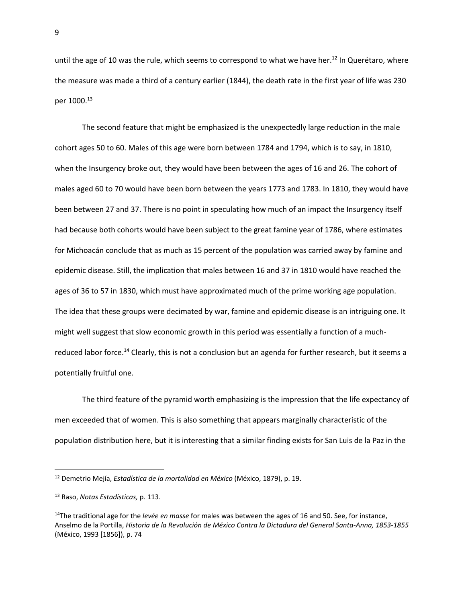until the age of 10 was the rule, which seems to correspond to what we have her. <sup>12</sup> In Querétaro, where the measure was made a third of a century earlier (1844), the death rate in the first year of life was 230 per 1000.<sup>13</sup>

The second feature that might be emphasized is the unexpectedly large reduction in the male cohort ages 50 to 60. Males of this age were born between 1784 and 1794, which is to say, in 1810, when the Insurgency broke out, they would have been between the ages of 16 and 26. The cohort of males aged 60 to 70 would have been born between the years 1773 and 1783. In 1810, they would have been between 27 and 37. There is no point in speculating how much of an impact the Insurgency itself had because both cohorts would have been subject to the great famine year of 1786, where estimates for Michoacán conclude that as much as 15 percent of the population was carried away by famine and epidemic disease. Still, the implication that males between 16 and 37 in 1810 would have reached the ages of 36 to 57 in 1830, which must have approximated much of the prime working age population. The idea that these groups were decimated by war, famine and epidemic disease is an intriguing one. It might well suggest that slow economic growth in this period was essentially a function of a muchreduced labor force.<sup>14</sup> Clearly, this is not a conclusion but an agenda for further research, but it seems a potentially fruitful one.

The third feature of the pyramid worth emphasizing is the impression that the life expectancy of men exceeded that of women. This is also something that appears marginally characteristic of the population distribution here, but it is interesting that a similar finding exists for San Luis de la Paz in the

<sup>12</sup> Demetrio Mejía, *Estadística de la mortalidad en México* (México, 1879), p. 19.

<sup>13</sup> Raso, *Notas Estadísticas,* p. 113.

<sup>14</sup>The traditional age for the *levée en masse* for males was between the ages of 16 and 50. See, for instance, Anselmo de la Portilla, *Historia de la Revolución de México Contra la Dictadura del General Santa-Anna, 1853-1855*  (México, 1993 [1856]), p. 74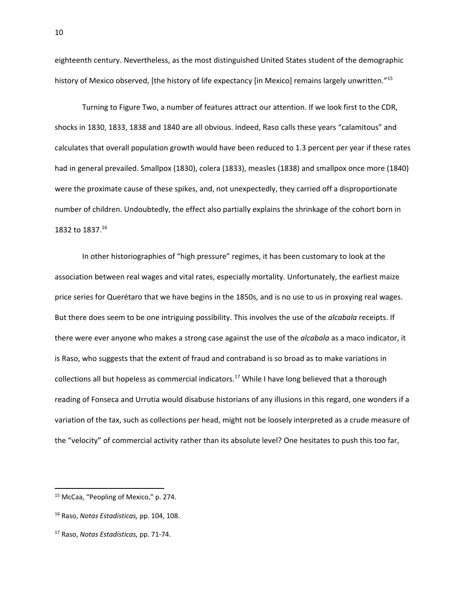eighteenth century. Nevertheless, as the most distinguished United States student of the demographic history of Mexico observed, [the history of life expectancy [in Mexico] remains largely unwritten."<sup>15</sup>

Turning to Figure Two, a number of features attract our attention. If we look first to the CDR, shocks in 1830, 1833, 1838 and 1840 are all obvious. Indeed, Raso calls these years "calamitous" and calculates that overall population growth would have been reduced to 1.3 percent per year if these rates had in general prevailed. Smallpox (1830), colera (1833), measles (1838) and smallpox once more (1840) were the proximate cause of these spikes, and, not unexpectedly, they carried off a disproportionate number of children. Undoubtedly, the effect also partially explains the shrinkage of the cohort born in 1832 to 1837. 16

In other historiographies of "high pressure" regimes, it has been customary to look at the association between real wages and vital rates, especially mortality. Unfortunately, the earliest maize price series for Querétaro that we have begins in the 1850s, and is no use to us in proxying real wages. But there does seem to be one intriguing possibility. This involves the use of the *alcabala* receipts. If there were ever anyone who makes a strong case against the use of the *alcabala* as a maco indicator, it is Raso, who suggests that the extent of fraud and contraband is so broad as to make variations in collections all but hopeless as commercial indicators.<sup>17</sup> While I have long believed that a thorough reading of Fonseca and Urrutia would disabuse historians of any illusions in this regard, one wonders if a variation of the tax, such as collections per head, might not be loosely interpreted as a crude measure of the "velocity" of commercial activity rather than its absolute level? One hesitates to push this too far,

l

<sup>15</sup> McCaa, "Peopling of Mexico," p. 274.

<sup>16</sup> Raso, *Notas Estadísticas,* pp. 104, 108.

<sup>17</sup> Raso, *Notas Estadísticas,* pp. 71-74.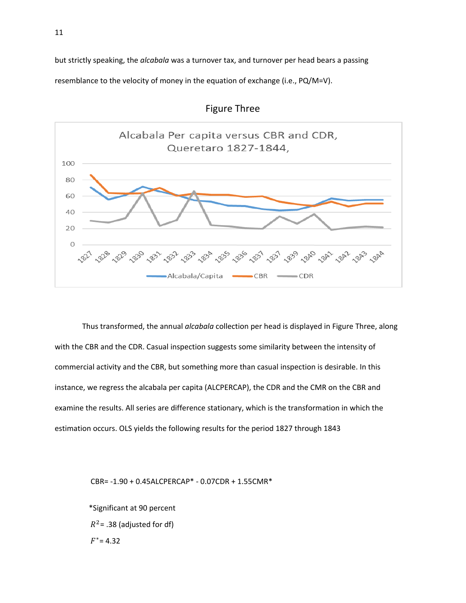but strictly speaking, the *alcabala* was a turnover tax, and turnover per head bears a passing resemblance to the velocity of money in the equation of exchange (i.e., PQ/M=V).





Thus transformed, the annual *alcabala* collection per head is displayed in Figure Three, along with the CBR and the CDR. Casual inspection suggests some similarity between the intensity of commercial activity and the CBR, but something more than casual inspection is desirable. In this instance, we regress the alcabala per capita (ALCPERCAP), the CDR and the CMR on the CBR and examine the results. All series are difference stationary, which is the transformation in which the estimation occurs. OLS yields the following results for the period 1827 through 1843

CBR= -1.90 + 0.45ALCPERCAP\* - 0.07CDR + 1.55CMR\*

 \*Significant at 90 percent  $R^2$ = .38 (adjusted for df)  $F^*$ = 4.32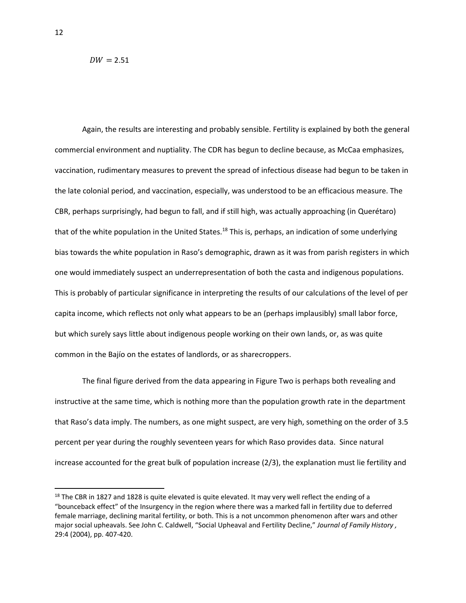$DW = 2.51$ 

Again, the results are interesting and probably sensible. Fertility is explained by both the general commercial environment and nuptiality. The CDR has begun to decline because, as McCaa emphasizes, vaccination, rudimentary measures to prevent the spread of infectious disease had begun to be taken in the late colonial period, and vaccination, especially, was understood to be an efficacious measure. The CBR, perhaps surprisingly, had begun to fall, and if still high, was actually approaching (in Querétaro) that of the white population in the United States.<sup>18</sup> This is, perhaps, an indication of some underlying bias towards the white population in Raso's demographic, drawn as it was from parish registers in which one would immediately suspect an underrepresentation of both the casta and indigenous populations. This is probably of particular significance in interpreting the results of our calculations of the level of per capita income, which reflects not only what appears to be an (perhaps implausibly) small labor force, but which surely says little about indigenous people working on their own lands, or, as was quite common in the Bajío on the estates of landlords, or as sharecroppers.

The final figure derived from the data appearing in Figure Two is perhaps both revealing and instructive at the same time, which is nothing more than the population growth rate in the department that Raso's data imply. The numbers, as one might suspect, are very high, something on the order of 3.5 percent per year during the roughly seventeen years for which Raso provides data. Since natural increase accounted for the great bulk of population increase (2/3), the explanation must lie fertility and

l

 $18$  The CBR in 1827 and 1828 is quite elevated is quite elevated. It may very well reflect the ending of a "bounceback effect" of the Insurgency in the region where there was a marked fall in fertility due to deferred female marriage, declining marital fertility, or both. This is a not uncommon phenomenon after wars and other major social upheavals. See John C. Caldwell, "Social Upheaval and Fertility Decline," *Journal of Family History ,*  29:4 (2004), pp. 407-420.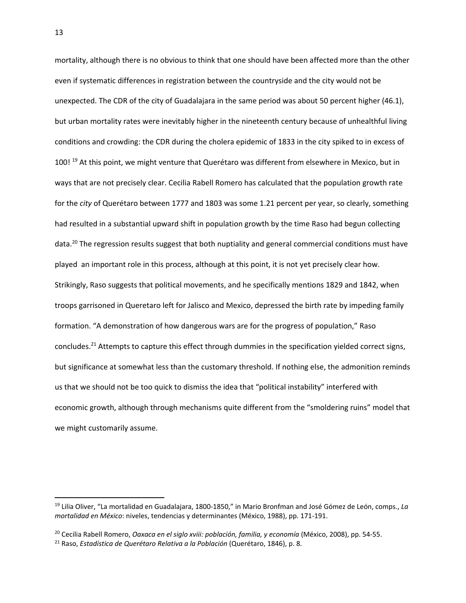mortality, although there is no obvious to think that one should have been affected more than the other even if systematic differences in registration between the countryside and the city would not be unexpected. The CDR of the city of Guadalajara in the same period was about 50 percent higher (46.1), but urban mortality rates were inevitably higher in the nineteenth century because of unhealthful living conditions and crowding: the CDR during the cholera epidemic of 1833 in the city spiked to in excess of 100!<sup>19</sup> At this point, we might venture that Querétaro was different from elsewhere in Mexico, but in ways that are not precisely clear. Cecilia Rabell Romero has calculated that the population growth rate for the *city* of Querétaro between 1777 and 1803 was some 1.21 percent per year, so clearly, something had resulted in a substantial upward shift in population growth by the time Raso had begun collecting data.<sup>20</sup> The regression results suggest that both nuptiality and general commercial conditions must have played an important role in this process, although at this point, it is not yet precisely clear how. Strikingly, Raso suggests that political movements, and he specifically mentions 1829 and 1842, when troops garrisoned in Queretaro left for Jalisco and Mexico, depressed the birth rate by impeding family formation. "A demonstration of how dangerous wars are for the progress of population," Raso concludes.<sup>21</sup> Attempts to capture this effect through dummies in the specification yielded correct signs, but significance at somewhat less than the customary threshold. If nothing else, the admonition reminds us that we should not be too quick to dismiss the idea that "political instability" interfered with economic growth, although through mechanisms quite different from the "smoldering ruins" model that we might customarily assume.

<sup>20</sup> Cecilia Rabell Romero, *Oaxaca en el siglo xviii: población, familia, y economía* (México, 2008), pp. 54-55.

<sup>19</sup> Lilia Oliver, "La mortalidad en Guadalajara, 1800-1850," in Mario Bronfman and José Gómez de León, comps., *La mortalidad en México*: niveles, tendencias y determinantes (México, 1988), pp. 171-191.

<sup>21</sup> Raso, *Estadística de Querétaro Relativa a la Población* (Querétaro, 1846), p. 8.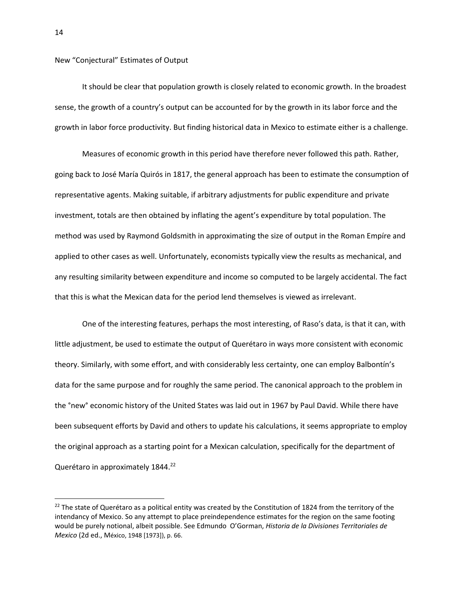New "Conjectural" Estimates of Output

It should be clear that population growth is closely related to economic growth. In the broadest sense, the growth of a country's output can be accounted for by the growth in its labor force and the growth in labor force productivity. But finding historical data in Mexico to estimate either is a challenge.

Measures of economic growth in this period have therefore never followed this path. Rather, going back to José María Quirós in 1817, the general approach has been to estimate the consumption of representative agents. Making suitable, if arbitrary adjustments for public expenditure and private investment, totals are then obtained by inflating the agent's expenditure by total population. The method was used by Raymond Goldsmith in approximating the size of output in the Roman Empíre and applied to other cases as well. Unfortunately, economists typically view the results as mechanical, and any resulting similarity between expenditure and income so computed to be largely accidental. The fact that this is what the Mexican data for the period lend themselves is viewed as irrelevant.

One of the interesting features, perhaps the most interesting, of Raso's data, is that it can, with little adjustment, be used to estimate the output of Querétaro in ways more consistent with economic theory. Similarly, with some effort, and with considerably less certainty, one can employ Balbontín's data for the same purpose and for roughly the same period. The canonical approach to the problem in the °new° economic history of the United States was laid out in 1967 by Paul David. While there have been subsequent efforts by David and others to update his calculations, it seems appropriate to employ the original approach as a starting point for a Mexican calculation, specifically for the department of Querétaro in approximately 1844.<sup>22</sup>

<sup>&</sup>lt;sup>22</sup> The state of Querétaro as a political entity was created by the Constitution of 1824 from the territory of the intendancy of Mexico. So any attempt to place preindependence estimates for the region on the same footing would be purely notional, albeit possible. See Edmundo O'Gorman, *Historia de la Divisiones Territoriales de Mexico* (2d ed., México, 1948 [1973]), p. 66.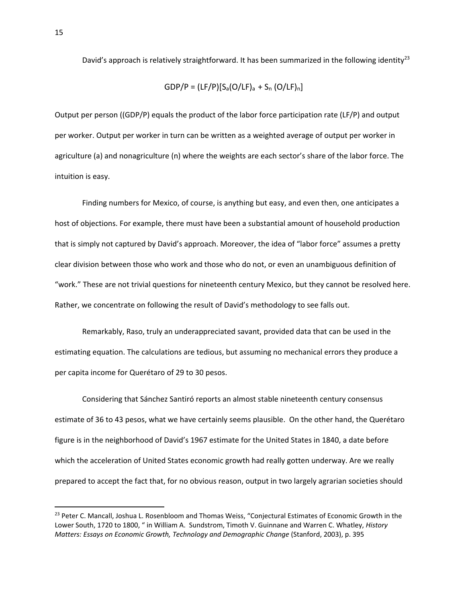David's approach is relatively straightforward. It has been summarized in the following identity<sup>23</sup>

GDP/P = (LF/P)[Sa(O/LF)a + S<sup>n</sup> (O/LF)n]

Output per person ((GDP/P) equals the product of the labor force participation rate (LF/P) and output per worker. Output per worker in turn can be written as a weighted average of output per worker in agriculture (a) and nonagriculture (n) where the weights are each sector's share of the labor force. The intuition is easy.

Finding numbers for Mexico, of course, is anything but easy, and even then, one anticipates a host of objections. For example, there must have been a substantial amount of household production that is simply not captured by David's approach. Moreover, the idea of "labor force" assumes a pretty clear division between those who work and those who do not, or even an unambiguous definition of "work." These are not trivial questions for nineteenth century Mexico, but they cannot be resolved here. Rather, we concentrate on following the result of David's methodology to see falls out.

Remarkably, Raso, truly an underappreciated savant, provided data that can be used in the estimating equation. The calculations are tedious, but assuming no mechanical errors they produce a per capita income for Querétaro of 29 to 30 pesos.

Considering that Sánchez Santiró reports an almost stable nineteenth century consensus estimate of 36 to 43 pesos, what we have certainly seems plausible. On the other hand, the Querétaro figure is in the neighborhood of David's 1967 estimate for the United States in 1840, a date before which the acceleration of United States economic growth had really gotten underway. Are we really prepared to accept the fact that, for no obvious reason, output in two largely agrarian societies should

<sup>&</sup>lt;sup>23</sup> Peter C. Mancall, Joshua L. Rosenbloom and Thomas Weiss, "Conjectural Estimates of Economic Growth in the Lower South, 1720 to 1800, " in William A. Sundstrom, Timoth V. Guinnane and Warren C. Whatley, *History Matters: Essays on Economic Growth, Technology and Demographic Change* (Stanford, 2003), p. 395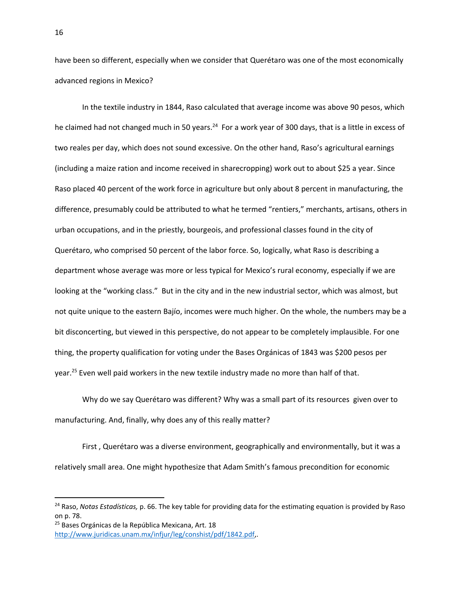have been so different, especially when we consider that Querétaro was one of the most economically advanced regions in Mexico?

In the textile industry in 1844, Raso calculated that average income was above 90 pesos, which he claimed had not changed much in 50 years.<sup>24</sup> For a work year of 300 days, that is a little in excess of two reales per day, which does not sound excessive. On the other hand, Raso's agricultural earnings (including a maize ration and income received in sharecropping) work out to about \$25 a year. Since Raso placed 40 percent of the work force in agriculture but only about 8 percent in manufacturing, the difference, presumably could be attributed to what he termed "rentiers," merchants, artisans, others in urban occupations, and in the priestly, bourgeois, and professional classes found in the city of Querétaro, who comprised 50 percent of the labor force. So, logically, what Raso is describing a department whose average was more or less typical for Mexico's rural economy, especially if we are looking at the "working class." But in the city and in the new industrial sector, which was almost, but not quite unique to the eastern Bajío, incomes were much higher. On the whole, the numbers may be a bit disconcerting, but viewed in this perspective, do not appear to be completely implausible. For one thing, the property qualification for voting under the Bases Orgánicas of 1843 was \$200 pesos per year.<sup>25</sup> Even well paid workers in the new textile industry made no more than half of that.

Why do we say Querétaro was different? Why was a small part of its resources given over to manufacturing. And, finally, why does any of this really matter?

First , Querétaro was a diverse environment, geographically and environmentally, but it was a relatively small area. One might hypothesize that Adam Smith's famous precondition for economic

<sup>24</sup> Raso, *Notas Estadísticas,* p. 66. The key table for providing data for the estimating equation is provided by Raso on p. 78.

<sup>25</sup> Bases Orgánicas de la República Mexicana, Art. 18 [http://www.juridicas.unam.mx/infjur/leg/conshist/pdf/1842.pdf,](http://www.juridicas.unam.mx/infjur/leg/conshist/pdf/1842.pdf).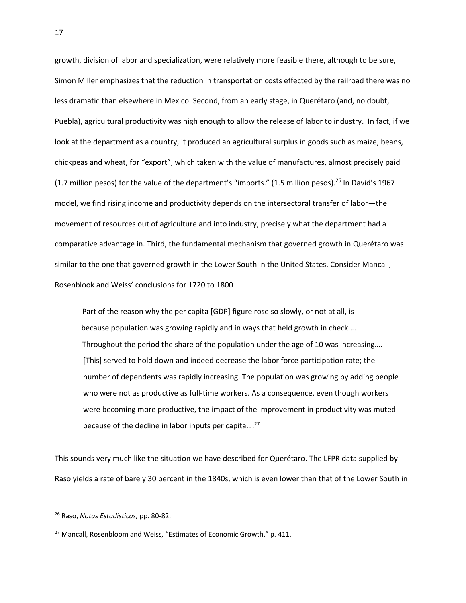growth, division of labor and specialization, were relatively more feasible there, although to be sure, Simon Miller emphasizes that the reduction in transportation costs effected by the railroad there was no less dramatic than elsewhere in Mexico. Second, from an early stage, in Querétaro (and, no doubt, Puebla), agricultural productivity was high enough to allow the release of labor to industry. In fact, if we look at the department as a country, it produced an agricultural surplus in goods such as maize, beans, chickpeas and wheat, for "export", which taken with the value of manufactures, almost precisely paid (1.7 million pesos) for the value of the department's "imports." (1.5 million pesos).<sup>26</sup> In David's 1967 model, we find rising income and productivity depends on the intersectoral transfer of labor—the movement of resources out of agriculture and into industry, precisely what the department had a comparative advantage in. Third, the fundamental mechanism that governed growth in Querétaro was similar to the one that governed growth in the Lower South in the United States. Consider Mancall, Rosenblook and Weiss' conclusions for 1720 to 1800

Part of the reason why the per capita [GDP] figure rose so slowly, or not at all, is because population was growing rapidly and in ways that held growth in check…. Throughout the period the share of the population under the age of 10 was increasing…. [This] served to hold down and indeed decrease the labor force participation rate; the number of dependents was rapidly increasing. The population was growing by adding people who were not as productive as full-time workers. As a consequence, even though workers were becoming more productive, the impact of the improvement in productivity was muted because of the decline in labor inputs per capita.... $^{27}$ 

This sounds very much like the situation we have described for Querétaro. The LFPR data supplied by Raso yields a rate of barely 30 percent in the 1840s, which is even lower than that of the Lower South in

<sup>26</sup> Raso, *Notas Estadísticas,* pp. 80-82.

<sup>&</sup>lt;sup>27</sup> Mancall, Rosenbloom and Weiss, "Estimates of Economic Growth," p. 411.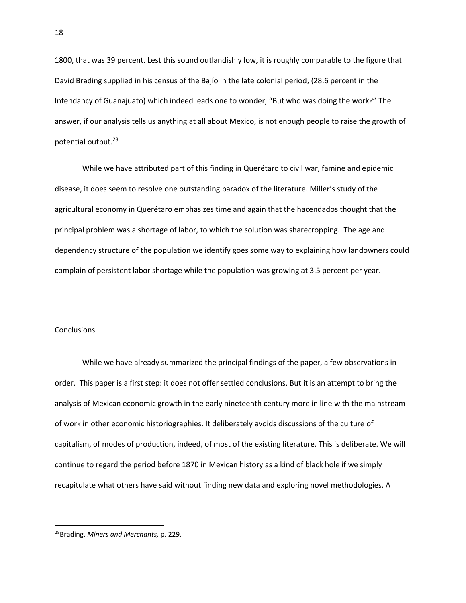1800, that was 39 percent. Lest this sound outlandishly low, it is roughly comparable to the figure that David Brading supplied in his census of the Bajío in the late colonial period, (28.6 percent in the Intendancy of Guanajuato) which indeed leads one to wonder, "But who was doing the work?" The answer, if our analysis tells us anything at all about Mexico, is not enough people to raise the growth of potential output.<sup>28</sup>

While we have attributed part of this finding in Querétaro to civil war, famine and epidemic disease, it does seem to resolve one outstanding paradox of the literature. Miller's study of the agricultural economy in Querétaro emphasizes time and again that the hacendados thought that the principal problem was a shortage of labor, to which the solution was sharecropping. The age and dependency structure of the population we identify goes some way to explaining how landowners could complain of persistent labor shortage while the population was growing at 3.5 percent per year.

## **Conclusions**

While we have already summarized the principal findings of the paper, a few observations in order. This paper is a first step: it does not offer settled conclusions. But it is an attempt to bring the analysis of Mexican economic growth in the early nineteenth century more in line with the mainstream of work in other economic historiographies. It deliberately avoids discussions of the culture of capitalism, of modes of production, indeed, of most of the existing literature. This is deliberate. We will continue to regard the period before 1870 in Mexican history as a kind of black hole if we simply recapitulate what others have said without finding new data and exploring novel methodologies. A

 $\overline{\phantom{a}}$ 28Brading, *Miners and Merchants,* p. 229.